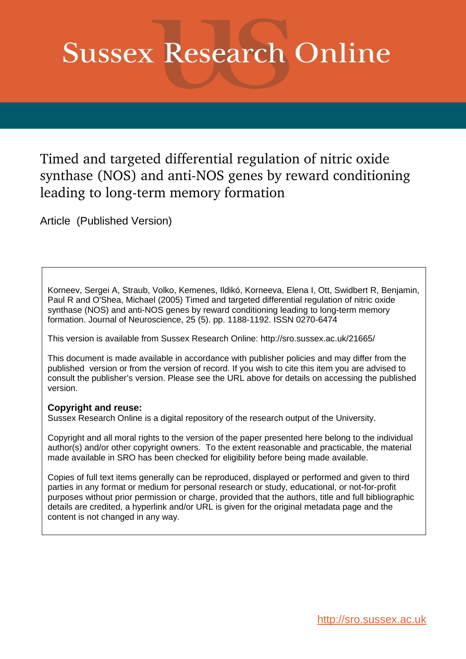# **Sussex Research Online**

Timed and targeted differential regulation of nitric oxide synthase (NOS) and anti-NOS genes by reward conditioning leading to long-term memory formation

Article (Published Version)

Korneev, Sergei A, Straub, Volko, Kemenes, Ildikó, Korneeva, Elena I, Ott, Swidbert R, Benjamin, Paul R and O'Shea, Michael (2005) Timed and targeted differential regulation of nitric oxide synthase (NOS) and anti-NOS genes by reward conditioning leading to long-term memory formation. Journal of Neuroscience, 25 (5). pp. 1188-1192. ISSN 0270-6474

This version is available from Sussex Research Online: http://sro.sussex.ac.uk/21665/

This document is made available in accordance with publisher policies and may differ from the published version or from the version of record. If you wish to cite this item you are advised to consult the publisher's version. Please see the URL above for details on accessing the published version.

### **Copyright and reuse:**

Sussex Research Online is a digital repository of the research output of the University.

Copyright and all moral rights to the version of the paper presented here belong to the individual author(s) and/or other copyright owners. To the extent reasonable and practicable, the material made available in SRO has been checked for eligibility before being made available.

Copies of full text items generally can be reproduced, displayed or performed and given to third parties in any format or medium for personal research or study, educational, or not-for-profit purposes without prior permission or charge, provided that the authors, title and full bibliographic details are credited, a hyperlink and/or URL is given for the original metadata page and the content is not changed in any way.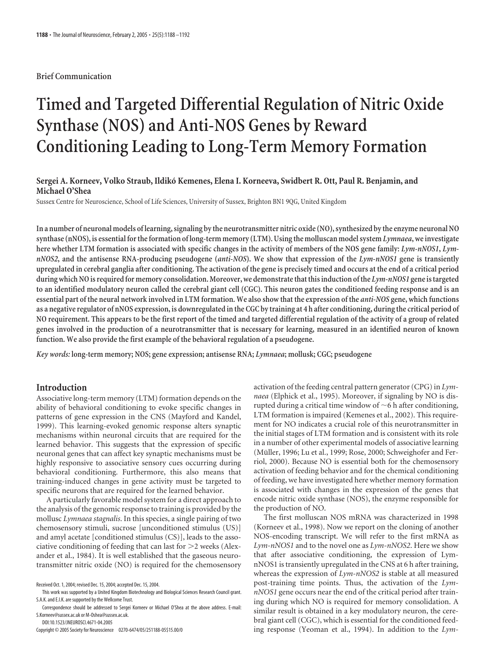#### **Brief Communication**

## **Timed and Targeted Differential Regulation of Nitric Oxide Synthase (NOS) and Anti-NOS Genes by Reward Conditioning Leading to Long-Term Memory Formation**

#### **Sergei A. Korneev, Volko Straub, Ildiko´ Kemenes, Elena I. Korneeva, Swidbert R. Ott, Paul R. Benjamin, and Michael O'Shea**

Sussex Centre for Neuroscience, School of Life Sciences, University of Sussex, Brighton BN1 9QG, United Kingdom

**In a number of neuronal models of learning, signaling by the neurotransmitter nitric oxide (NO), synthesized by the enzyme neuronal NO synthase (nNOS), is essential for the formation of long-term memory (LTM). Using the molluscan model system***Lymnaea***, we investigate here whether LTM formation is associated with specific changes in the activity of members of the NOS gene family:** *Lym-nNOS1***,** *LymnNOS2***, and the antisense RNA-producing pseudogene (***anti-NOS***). We show that expression of the** *Lym-nNOS1* **gene is transiently upregulated in cerebral ganglia after conditioning. The activation of the gene is precisely timed and occurs at the end of a critical period during which NO is required for memory consolidation. Moreover, we demonstrate that this induction of the** *Lym-nNOS1* **gene is targeted to an identified modulatory neuron called the cerebral giant cell (CGC). This neuron gates the conditioned feeding response and is an essential part of the neural network involved in LTM formation. We also show that the expression of the** *anti-NOS* **gene, which functions as a negative regulator of nNOS expression, is downregulated in the CGC by training at 4 h after conditioning, during the critical period of NO requirement. This appears to be the first report of the timed and targeted differential regulation of the activity of a group of related genes involved in the production of a neurotransmitter that is necessary for learning, measured in an identified neuron of known function. We also provide the first example of the behavioral regulation of a pseudogene.**

*Key words:* **long-term memory; NOS; gene expression; antisense RNA;** *Lymnaea***; mollusk; CGC; pseudogene**

#### **Introduction**

Associative long-term memory (LTM) formation depends on the ability of behavioral conditioning to evoke specific changes in patterns of gene expression in the CNS (Mayford and Kandel, 1999). This learning-evoked genomic response alters synaptic mechanisms within neuronal circuits that are required for the learned behavior. This suggests that the expression of specific neuronal genes that can affect key synaptic mechanisms must be highly responsive to associative sensory cues occurring during behavioral conditioning. Furthermore, this also means that training-induced changes in gene activity must be targeted to specific neurons that are required for the learned behavior.

A particularly favorable model system for a direct approach to the analysis of the genomic response to training is provided by the mollusc *Lymnaea stagnalis*. In this species, a single pairing of two chemosensory stimuli, sucrose [unconditioned stimulus (US)] and amyl acetate [conditioned stimulus (CS)], leads to the associative conditioning of feeding that can last for  $>$ 2 weeks (Alexander et al., 1984). It is well established that the gaseous neurotransmitter nitric oxide (NO) is required for the chemosensory

Correspondence should be addressed to Sergei Korneev or Michael O'Shea at the above address. E-mail: S.Korneev@sussex.ac.uk or M-Oshea@sussex.ac.uk.

DOI:10.1523/JNEUROSCI.4671-04.2005

Copyright © 2005 Society for Neuroscience 0270-6474/05/251188-05\$15.00/0

activation of the feeding central pattern generator (CPG) in *Lymnaea* (Elphick et al., 1995). Moreover, if signaling by NO is disrupted during a critical time window of  $\sim$  6 h after conditioning, LTM formation is impaired (Kemenes et al., 2002). This requirement for NO indicates a crucial role of this neurotransmitter in the initial stages of LTM formation and is consistent with its role in a number of other experimental models of associative learning (Müller, 1996; Lu et al., 1999; Rose, 2000; Schweighofer and Ferriol, 2000). Because NO is essential both for the chemosensory activation of feeding behavior and for the chemical conditioning of feeding, we have investigated here whether memory formation is associated with changes in the expression of the genes that encode nitric oxide synthase (NOS), the enzyme responsible for the production of NO.

The first molluscan NOS mRNA was characterized in 1998 (Korneev et al., 1998). Now we report on the cloning of another NOS-encoding transcript. We will refer to the first mRNA as *Lym-nNOS1* and to the novel one as *Lym-nNOS2*. Here we show that after associative conditioning, the expression of LymnNOS1 is transiently upregulated in the CNS at 6 h after training, whereas the expression of *Lym-nNOS2* is stable at all measured post-training time points. Thus, the activation of the *LymnNOS1* gene occurs near the end of the critical period after training during which NO is required for memory consolidation. A similar result is obtained in a key modulatory neuron, the cerebral giant cell (CGC), which is essential for the conditioned feeding response (Yeoman et al., 1994). In addition to the *Lym-*

Received Oct. 1, 2004; revised Dec. 15, 2004; accepted Dec. 15, 2004.

This work was supported by a United Kingdom Biotechnology and Biological Sciences Research Council grant. S.A.K. and E.I.K. are supported by the Wellcome Trust.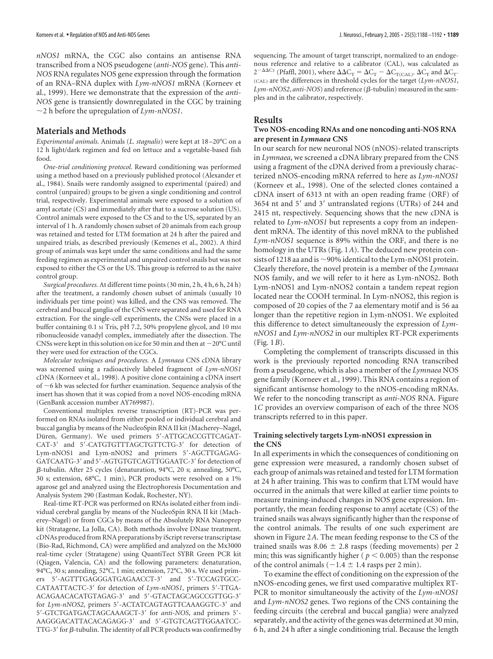*nNOS1* mRNA, the CGC also contains an antisense RNA transcribed from a NOS pseudogene (*anti-NOS* gene). This *anti-NOS* RNA regulates NOS gene expression through the formation of an RNA–RNA duplex with *Lym-nNOS1* mRNA (Korneev et al., 1999). Here we demonstrate that the expression of the *anti-NOS* gene is transiently downregulated in the CGC by training -2 h before the upregulation of *Lym-nNOS1*.

#### **Materials and Methods**

*Experimental animals.* Animals (*L. stagnalis*) were kept at 18 –20°C on a 12 h light/dark regimen and fed on lettuce and a vegetable-based fish food.

*One-trial conditioning protocol.* Reward conditioning was performed using a method based on a previously published protocol (Alexander et al., 1984). Snails were randomly assigned to experimental (paired) and control (unpaired) groups to be given a single conditioning and control trial, respectively. Experimental animals were exposed to a solution of amyl acetate (CS) and immediately after that to a sucrose solution (US). Control animals were exposed to the CS and to the US, separated by an interval of 1 h. A randomly chosen subset of 20 animals from each group was retained and tested for LTM formation at 24 h after the paired and unpaired trials, as described previously (Kemenes et al., 2002). A third group of animals was kept under the same conditions and had the same feeding regimen as experimental and unpaired control snails but was not exposed to either the CS or the US. This group is referred to as the naive control group.

*Surgical procedures.* At different time points (30 min, 2 h, 4 h, 6 h, 24 h) after the treatment, a randomly chosen subset of animals (usually 10 individuals per time point) was killed, and the CNS was removed. The cerebral and buccal ganglia of the CNS were separated and used for RNA extraction. For the single-cell experiments, the CNSs were placed in a buffer containing 0.1 M Tris, pH 7.2, 50% propylene glycol, and 10 mM ribonucleoside vanadyl complex, immediately after the dissection. The CNSs were kept in this solution on ice for 50 min and then at  $-20^{\circ}$ C until they were used for extraction of the CGCs.

*Molecular techniques and procedures.* A *Lymnaea* CNS cDNA library was screened using a radioactively labeled fragment of *Lym-nNOS1* cDNA (Korneev et al., 1998). A positive clone containing a cDNA insert of -6 kb was selected for further examination. Sequence analysis of the insert has shown that it was copied from a novel NOS-encoding mRNA (GenBank accession number AY769987).

Conventional multiplex reverse transcription (RT)-PCR was performed on RNAs isolated from either pooled or individual cerebral and buccal ganglia by means of the NucleoSpin RNA II kit (Macherey–Nagel, Düren, Germany). We used primers 5'-ATTGCACCGTTCAGAT-CAT-3' and 5'-CATGTGTTTAGCTGTTCTG-3' for detection of Lym-nNOS1 and Lym-nNOS2 and primers 5-AGCTTGAGAG-GATCAATG-3' and 5'-AGTGTGTCAGTTGGAATC-3' for detection of  $\beta$ -tubulin. After 25 cycles (denaturation, 94°C, 20 s; annealing, 50°C, 30 s; extension, 68°C, 1 min), PCR products were resolved on a 1% agarose gel and analyzed using the Electrophoresis Documentation and Analysis System 290 (Eastman Kodak, Rochester, NY).

Real-time RT-PCR was performed on RNAs isolated either from individual cerebral ganglia by means of the NucleoSpin RNA II kit (Macherey–Nagel) or from CGCs by means of the Absolutely RNA Nanoprep kit (Stratagene, La Jolla, CA). Both methods involve DNase treatment. cDNAs produced from RNA preparations by iScript reverse transcriptase (Bio-Rad, Richmond, CA) were amplified and analyzed on the Mx3000 real-time cycler (Stratagene) using QuantiTect SYBR Green PCR kit (Qiagen, Valencia, CA) and the following parameters: denaturation, 94°C, 30 s; annealing, 52°C, 1 min; extension, 72°C, 30 s. We used primers 5'-AGTTTGAGGGATGAGAACCT-3' and 5'-TCCAGTGCC-CATAATTACTC-3' for detection of *Lym-nNOS1*, primers 5'-TTGA-ACAGAACACATGTAGAG-3' and 5'-GTACTAGCAGCCGTTGG-3' for *Lym-nNOS2*, primers 5'-ACTATCAGTAGTTCAAAGGTC-3' and 5-GTCTGATGACTAGCAAAGCT-3 for *anti-NOS*, and primers 5- AAGGGACATTACACAGAGG-3' and 5'-GTGTCAGTTGGAATCC-TTG-3' for  $\beta$ -tubulin. The identity of all PCR products was confirmed by

sequencing. The amount of target transcript, normalized to an endogenous reference and relative to a calibrator (CAL), was calculated as  $2^{-\Delta\Delta C_T}$  (Pfaffl, 2001), where  $\Delta\Delta C_T = \Delta C_T - \Delta C_{T(CAL)}$ .  $\Delta C_T$  and  $\Delta C_T$ . (CAL) are the differences in threshold cycles for the target (*Lym-nNOS1*,  $Lym-nNOS2, anti-NOS$ ) and reference ( $\beta$ -tubulin) measured in the samples and in the calibrator, respectively.

#### **Results**

#### **Two NOS-encoding RNAs and one noncoding anti-NOS RNA are present in** *Lymnaea* **CNS**

In our search for new neuronal NOS (nNOS)-related transcripts in *Lymnaea*, we screened a cDNA library prepared from the CNS using a fragment of the cDNA derived from a previously characterized nNOS-encoding mRNA referred to here as *Lym-nNOS1* (Korneev et al., 1998). One of the selected clones contained a cDNA insert of 6313 nt with an open reading frame (ORF) of 3654 nt and 5' and 3' untranslated regions (UTRs) of 244 and 2415 nt, respectively. Sequencing shows that the new cDNA is related to *Lym-nNOS1* but represents a copy from an independent mRNA. The identity of this novel mRNA to the published *Lym-nNOS1* sequence is 89% within the ORF, and there is no homology in the UTRs (Fig. 1*A*). The deduced new protein consists of 1218 aa and is  $\sim$ 90% identical to the Lym-nNOS1 protein. Clearly therefore, the novel protein is a member of the *Lymnaea* NOS family, and we will refer to it here as Lym-nNOS2. Both Lym-nNOS1 and Lym-nNOS2 contain a tandem repeat region located near the COOH terminal. In Lym-nNOS2, this region is composed of 20 copies of the 7 aa elementary motif and is 56 aa longer than the repetitive region in Lym-nNOS1. We exploited this difference to detect simultaneously the expression of *LymnNOS1* and *Lym-nNOS2* in our multiplex RT-PCR experiments (Fig. 1*B*).

Completing the complement of transcripts discussed in this work is the previously reported noncoding RNA transcribed from a pseudogene, which is also a member of the *Lymnaea* NOS gene family (Korneev et al., 1999). This RNA contains a region of significant antisense homology to the nNOS-encoding mRNAs. We refer to the noncoding transcript as *anti-NOS* RNA. Figure 1*C* provides an overview comparison of each of the three NOS transcripts referred to in this paper.

#### **Training selectively targets Lym-nNOS1 expression in the CNS**

In all experiments in which the consequences of conditioning on gene expression were measured, a randomly chosen subset of each group of animals was retained and tested for LTM formation at 24 h after training. This was to confirm that LTM would have occurred in the animals that were killed at earlier time points to measure training-induced changes in NOS gene expression. Importantly, the mean feeding response to amyl acetate (CS) of the trained snails was always significantly higher than the response of the control animals. The results of one such experiment are shown in Figure 2*A*. The mean feeding response to the CS of the trained snails was  $8.06 \pm 2.8$  rasps (feeding movements) per 2 min; this was significantly higher ( $p < 0.005$ ) than the response of the control animals ( $-1.4 \pm 1.4$  rasps per 2 min).

To examine the effect of conditioning on the expression of the nNOS-encoding genes, we first used comparative multiplex RT-PCR to monitor simultaneously the activity of the *Lym-nNOS1* and *Lym-nNOS2* genes. Two regions of the CNS containing the feeding circuits (the cerebral and buccal ganglia) were analyzed separately, and the activity of the genes was determined at 30 min, 6 h, and 24 h after a single conditioning trial. Because the length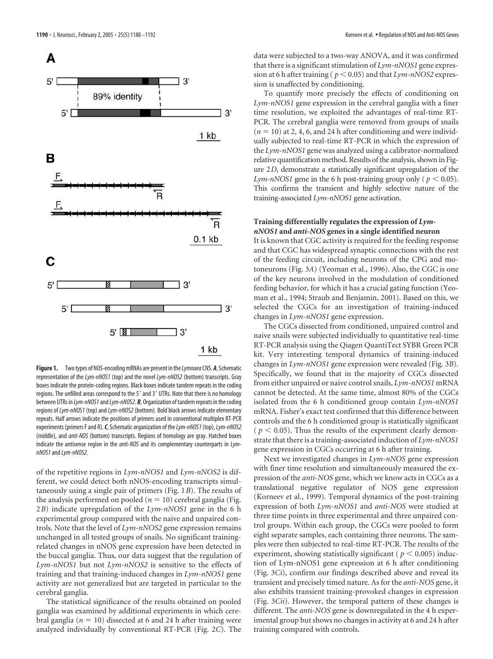

**Figure 1.** Two types of NOS-encoding mRNAs are present in the *Lymnaea* CNS. **A**, Schematic representation of the Lym-nNOS1 (top) and the novel Lym-nNOS2 (bottom) transcripts. Gray boxes indicate the protein-coding regions. Black boxes indicate tandem repeats in the coding regions. The unfilled areas correspond to the 5' and 3' UTRs. Note that there is no homology between UTRs in Lym-nNOS1 and Lym-nNOS2. **B**, Organization of tandem repeats in the coding regions of Lym-nNOS1 (top) and Lym-nNOS2 (bottom). Bold black arrows indicate elementary repeats. Half arrows indicate the positions of primers used in conventional multiplex RT-PCR experiments (primers F and R). C, Schematic organization of the Lym-nNOS1 (top), Lym-nNOS2 (middle), and anti-NOS (bottom) transcripts. Regions of homology are gray. Hatched boxes indicate the antisense region in the anti-NOS and its complementary counterparts in LymnNOS1andLym-nNOS2.

of the repetitive regions in *Lym-nNOS1* and *Lym-nNOS2* is different, we could detect both nNOS-encoding transcripts simultaneously using a single pair of primers (Fig. 1*B*). The results of the analysis performed on pooled ( $n = 10$ ) cerebral ganglia (Fig. 2*B*) indicate upregulation of the *Lym-nNOS1* gene in the 6 h experimental group compared with the naive and unpaired controls. Note that the level of *Lym-nNOS2* gene expression remains unchanged in all tested groups of snails. No significant trainingrelated changes in nNOS gene expression have been detected in the buccal ganglia. Thus, our data suggest that the regulation of *Lym-nNOS1* but not *Lym-nNOS2* is sensitive to the effects of training and that training-induced changes in *Lym-nNOS1* gene activity are not generalized but are targeted in particular to the cerebral ganglia.

The statistical significance of the results obtained on pooled ganglia was examined by additional experiments in which cerebral ganglia ( $n = 10$ ) dissected at 6 and 24 h after training were analyzed individually by conventional RT-PCR (Fig. 2*C*). The

data were subjected to a two-way ANOVA, and it was confirmed that there is a significant stimulation of *Lym-nNOS1* gene expression at 6 h after training ( $p < 0.05$ ) and that  $Lym-nNOS2$  expression is unaffected by conditioning.

To quantify more precisely the effects of conditioning on *Lym-nNOS1* gene expression in the cerebral ganglia with a finer time resolution, we exploited the advantages of real-time RT-PCR. The cerebral ganglia were removed from groups of snails  $(n = 10)$  at 2, 4, 6, and 24 h after conditioning and were individually subjected to real-time RT-PCR in which the expression of the *Lym-nNOS1* gene was analyzed using a calibrator-normalized relative quantification method. Results of the analysis, shown in Figure 2*D*, demonstrate a statistically significant upregulation of the *Lym-nNOS1* gene in the 6 h post-training group only ( $p < 0.05$ ). This confirms the transient and highly selective nature of the training-associated *Lym-nNOS1* gene activation.

#### **Training differentially regulates the expression of** *LymnNOS1* **and** *anti-NOS* **genes in a single identified neuron**

It is known that CGC activity is required for the feeding response and that CGC has widespread synaptic connections with the rest of the feeding circuit, including neurons of the CPG and motoneurons (Fig. 3*A*) (Yeoman et al., 1996). Also, the CGC is one of the key neurons involved in the modulation of conditioned feeding behavior, for which it has a crucial gating function (Yeoman et al., 1994; Straub and Benjamin, 2001). Based on this, we selected the CGCs for an investigation of training-induced changes in *Lym-nNOS1* gene expression.

The CGCs dissected from conditioned, unpaired control and naive snails were subjected individually to quantitative real-time RT-PCR analysis using the Qiagen QuantiTect SYBR Green PCR kit. Very interesting temporal dynamics of training-induced changes in *Lym-nNOS1* gene expression were revealed (Fig. 3*B*). Specifically, we found that in the majority of CGCs dissected from either unpaired or naive control snails, *Lym-nNOS1* mRNA cannot be detected. At the same time, almost 80% of the CGCs isolated from the 6 h conditioned group contain *Lym-nNOS1* mRNA. Fisher's exact test confirmed that this difference between controls and the 6 h conditioned group is statistically significant ( $p < 0.05$ ). Thus the results of the experiment clearly demonstrate that there is a training-associated induction of *Lym-nNOS1* gene expression in CGCs occurring at 6 h after training.

Next we investigated changes in *Lym-nNOS* gene expression with finer time resolution and simultaneously measured the expression of the *anti-NOS* gene, which we know acts in CGCs as a translational negative regulator of NOS gene expression (Korneev et al., 1999). Temporal dynamics of the post-training expression of both *Lym-nNOS1* and *anti-NOS* were studied at three time points in three experimental and three unpaired control groups. Within each group, the CGCs were pooled to form eight separate samples, each containing three neurons. The samples were then subjected to real-time RT-PCR. The results of the experiment, showing statistically significant ( $p < 0.005$ ) induction of Lym-nNOS1 gene expression at 6 h after conditioning (Fig. 3*Ci*), confirm our findings described above and reveal its transient and precisely timed nature. As for the *anti-NOS* gene, it also exhibits transient training-provoked changes in expression (Fig. 3*Cii*). However, the temporal pattern of these changes is different. The *anti-NOS* gene is downregulated in the 4 h experimental group but shows no changes in activity at 6 and 24 h after training compared with controls.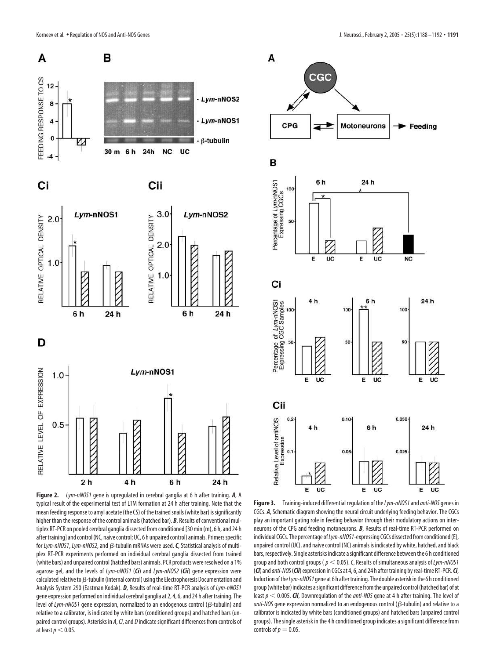





**Figure 2.** Lym-nNOS1 gene is upregulated in cerebral ganglia at 6 h after training. *A*, A typical result of the experimental test of LTM formation at 24 h after training. Note that the mean feeding response to amyl acetate (the CS) of the trained snails (white bar) is significantly higher than the response of the control animals (hatched bar). *B*, Results of conventional multiplex RT-PCR on pooled cerebral ganglia dissected from conditioned [30 min (m), 6 h, and 24 h after training] and control (NC, naive control; UC, 6 h unpaired control) animals. Primers specific for Lym-nNOS1, Lym-nNOS2, and  $\beta$ -tubulin mRNAs were used. C, Statistical analysis of multiplex RT-PCR experiments performed on individual cerebral ganglia dissected from trained (white bars) and unpaired control (hatched bars) animals. PCR products were resolved on a 1% agarose gel, and the levels of Lym-nNOS1 (*Ci*) and Lym-nNOS2 (*Cii*) gene expression were calculated relative to  $\beta$ -tubulin (internal control) using the Electrophoresis Documentation and Analysis System 290 (Eastman Kodak). *D*, Results of real-time RT-PCR analysis of Lym-nNOS1 gene expression performed on individual cerebral ganglia at 2, 4, 6, and 24 h after training. The level of Lym-nNOS1 gene expression, normalized to an endogenous control ( $\beta$ -tubulin) and relative to a calibrator, is indicated by white bars (conditioned groups) and hatched bars (unpaired control groups). Asterisks in A, Ci, and D indicate significant differences from controls of at least  $p < 0.05$ .



**Figure 3.** Training-induced differential regulation of the Lym-nNOS1 and anti-NOS genes in CGCs. *A*, Schematic diagram showing the neural circuit underlying feeding behavior. The CGCs play an important gating role in feeding behavior through their modulatory actions on interneurons of the CPG and feeding motoneurons. *B*, Results of real-time RT-PCR performed on individual CGCs. The percentage of Lym-nNOS1-expressing CGCs dissected from conditioned (E), unpaired control (UC), and naive control (NC) animals is indicated by white, hatched, and black bars, respectively. Single asterisks indicate a significant difference between the 6 h conditioned group and both control groups ( $p < 0.05$ ). C, Results of simultaneous analysis of Lym-nNOS1 (*Ci*) andanti-NOS(*Cii*) expression in CGCs at 4, 6, and 24 h after training by real-time RT-PCR.*Ci*, Induction of the Lym-nNOS1 gene at 6 h after training. The double asterisk in the 6 h conditioned group (white bar) indicates a significant difference from the unpaired control (hatched bar) of at least  $p < 0.005$ . *Cii*, Downregulation of the *anti-NOS* gene at 4 h after training. The level of anti-NOS gene expression normalized to an endogenous control ( $\beta$ -tubulin) and relative to a calibrator is indicated by white bars (conditioned groups) and hatched bars (unpaired control groups). The single asterisk in the 4 h conditioned group indicates a significant difference from controls of  $p = 0.05$ .